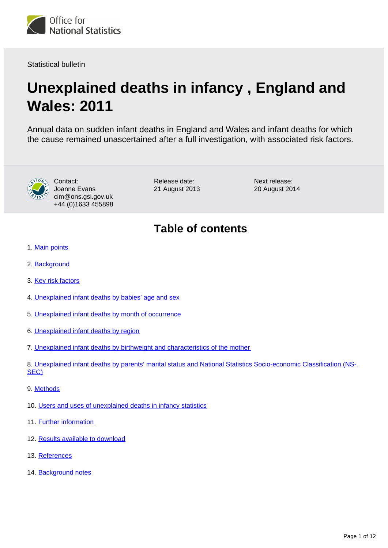

Statistical bulletin

# **Unexplained deaths in infancy , England and Wales: 2011**

Annual data on sudden infant deaths in England and Wales and infant deaths for which the cause remained unascertained after a full investigation, with associated risk factors.



Contact: Joanne Evans cim@ons.gsi.gov.uk +44 (0)1633 455898 Release date: 21 August 2013 Next release: 20 August 2014

# **Table of contents**

- 1. [Main points](#page-1-0)
- 2. [Background](#page-1-1)
- 3. [Key risk factors](#page-1-2)
- 4. [Unexplained infant deaths by babies' age and sex](#page-3-0)
- 5. [Unexplained infant deaths by month of occurrence](#page-4-0)
- 6. [Unexplained infant deaths by region](#page-4-1)
- 7. [Unexplained infant deaths by birthweight and characteristics of the mother](#page-4-2)

8. [Unexplained infant deaths by parents' marital status and National Statistics Socio-economic Classification \(NS-](#page-6-0)[SEC\)](#page-6-0)

- 9. [Methods](#page-8-0)
- 10. [Users and uses of unexplained deaths in infancy statistics](#page-8-1)
- 11. Further information
- 12. Results available to download
- 13. References
- 14. Background notes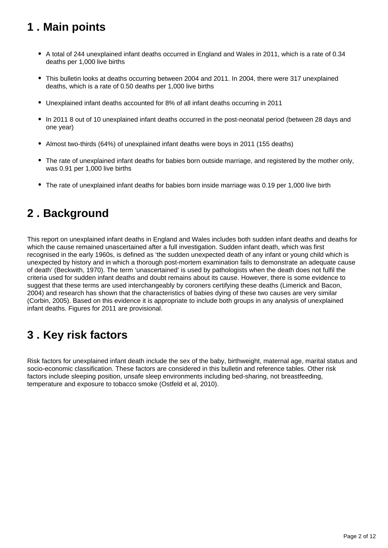# <span id="page-1-0"></span>**1 . Main points**

- A total of 244 unexplained infant deaths occurred in England and Wales in 2011, which is a rate of 0.34 deaths per 1,000 live births
- This bulletin looks at deaths occurring between 2004 and 2011. In 2004, there were 317 unexplained deaths, which is a rate of 0.50 deaths per 1,000 live births
- Unexplained infant deaths accounted for 8% of all infant deaths occurring in 2011
- In 2011 8 out of 10 unexplained infant deaths occurred in the post-neonatal period (between 28 days and one year)
- Almost two-thirds (64%) of unexplained infant deaths were boys in 2011 (155 deaths)
- The rate of unexplained infant deaths for babies born outside marriage, and registered by the mother only, was 0.91 per 1,000 live births
- The rate of unexplained infant deaths for babies born inside marriage was 0.19 per 1,000 live birth

### <span id="page-1-1"></span>**2 . Background**

This report on unexplained infant deaths in England and Wales includes both sudden infant deaths and deaths for which the cause remained unascertained after a full investigation. Sudden infant death, which was first recognised in the early 1960s, is defined as 'the sudden unexpected death of any infant or young child which is unexpected by history and in which a thorough post-mortem examination fails to demonstrate an adequate cause of death' (Beckwith, 1970). The term 'unascertained' is used by pathologists when the death does not fulfil the criteria used for sudden infant deaths and doubt remains about its cause. However, there is some evidence to suggest that these terms are used interchangeably by coroners certifying these deaths (Limerick and Bacon, 2004) and research has shown that the characteristics of babies dying of these two causes are very similar (Corbin, 2005). Based on this evidence it is appropriate to include both groups in any analysis of unexplained infant deaths. Figures for 2011 are provisional.

### <span id="page-1-2"></span>**3 . Key risk factors**

Risk factors for unexplained infant death include the sex of the baby, birthweight, maternal age, marital status and socio-economic classification. These factors are considered in this bulletin and reference tables. Other risk factors include sleeping position, unsafe sleep environments including bed-sharing, not breastfeeding, temperature and exposure to tobacco smoke (Ostfeld et al, 2010).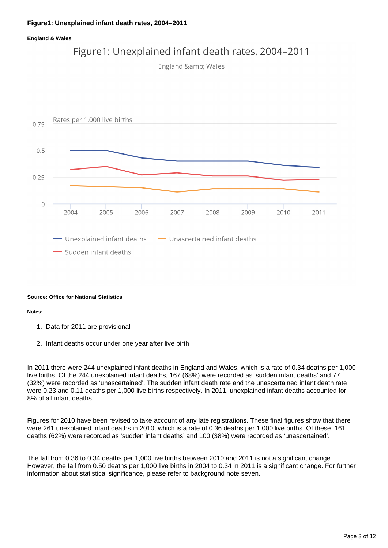### **Figure1: Unexplained infant death rates, 2004–2011**

#### **England & Wales**







#### **Source: Office for National Statistics**

#### **Notes:**

- 1. Data for 2011 are provisional
- 2. Infant deaths occur under one year after live birth

In 2011 there were 244 unexplained infant deaths in England and Wales, which is a rate of 0.34 deaths per 1,000 live births. Of the 244 unexplained infant deaths, 167 (68%) were recorded as 'sudden infant deaths' and 77 (32%) were recorded as 'unascertained'. The sudden infant death rate and the unascertained infant death rate were 0.23 and 0.11 deaths per 1,000 live births respectively. In 2011, unexplained infant deaths accounted for 8% of all infant deaths.

Figures for 2010 have been revised to take account of any late registrations. These final figures show that there were 261 unexplained infant deaths in 2010, which is a rate of 0.36 deaths per 1,000 live births. Of these, 161 deaths (62%) were recorded as 'sudden infant deaths' and 100 (38%) were recorded as 'unascertained'.

The fall from 0.36 to 0.34 deaths per 1,000 live births between 2010 and 2011 is not a significant change. However, the fall from 0.50 deaths per 1,000 live births in 2004 to 0.34 in 2011 is a significant change. For further information about statistical significance, please refer to background note seven.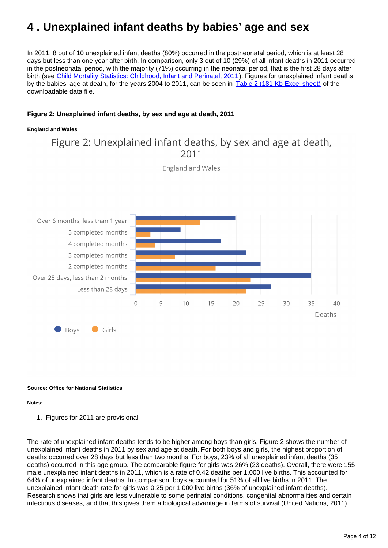# <span id="page-3-0"></span>**4 . Unexplained infant deaths by babies' age and sex**

In 2011, 8 out of 10 unexplained infant deaths (80%) occurred in the postneonatal period, which is at least 28 days but less than one year after birth. In comparison, only 3 out of 10 (29%) of all infant deaths in 2011 occurred in the postneonatal period, with the majority (71%) occurring in the neonatal period, that is the first 28 days after birth (see [Child Mortality Statistics: Childhood, Infant and Perinatal, 2011\)](http://www.ons.gov.uk/ons/rel/vsob1/child-mortality-statistics--childhood--infant-and-perinatal/2011/index.html). Figures for unexplained infant deaths by the babies' age at death, for the years 2004 to 2011, can be seen in [Table 2 \(181 Kb Excel sheet\)](http://www.ons.gov.uk/ons/rel/child-health/unexplained-deaths-in-infancy--england-and-wales/2011/rft-unexplained-death-in-infancy.xls) of the downloadable data file.

### **Figure 2: Unexplained infant deaths, by sex and age at death, 2011**

#### **England and Wales**

Figure 2: Unexplained infant deaths, by sex and age at death,  $2011$ 

**England and Wales** 



#### **Source: Office for National Statistics**

#### **Notes:**

1. Figures for 2011 are provisional

The rate of unexplained infant deaths tends to be higher among boys than girls. Figure 2 shows the number of unexplained infant deaths in 2011 by sex and age at death. For both boys and girls, the highest proportion of deaths occurred over 28 days but less than two months. For boys, 23% of all unexplained infant deaths (35 deaths) occurred in this age group. The comparable figure for girls was 26% (23 deaths). Overall, there were 155 male unexplained infant deaths in 2011, which is a rate of 0.42 deaths per 1,000 live births. This accounted for 64% of unexplained infant deaths. In comparison, boys accounted for 51% of all live births in 2011. The unexplained infant death rate for girls was 0.25 per 1,000 live births (36% of unexplained infant deaths). Research shows that girls are less vulnerable to some perinatal conditions, congenital abnormalities and certain infectious diseases, and that this gives them a biological advantage in terms of survival (United Nations, 2011).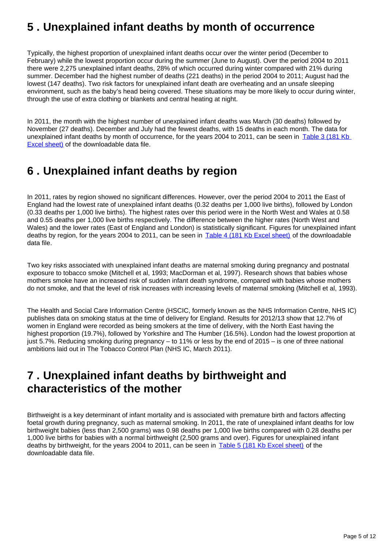### <span id="page-4-0"></span>**5 . Unexplained infant deaths by month of occurrence**

Typically, the highest proportion of unexplained infant deaths occur over the winter period (December to February) while the lowest proportion occur during the summer (June to August). Over the period 2004 to 2011 there were 2,275 unexplained infant deaths, 28% of which occurred during winter compared with 21% during summer. December had the highest number of deaths (221 deaths) in the period 2004 to 2011; August had the lowest (147 deaths). Two risk factors for unexplained infant death are overheating and an unsafe sleeping environment, such as the baby's head being covered. These situations may be more likely to occur during winter, through the use of extra clothing or blankets and central heating at night.

In 2011, the month with the highest number of unexplained infant deaths was March (30 deaths) followed by November (27 deaths). December and July had the fewest deaths, with 15 deaths in each month. The data for unexplained infant deaths by month of occurrence, for the years 2004 to 2011, can be seen in Table 3 (181 Kb [Excel sheet\)](http://www.ons.gov.uk/ons/rel/child-health/unexplained-deaths-in-infancy--england-and-wales/2011/rft-unexplained-death-in-infancy.xls) of the downloadable data file.

### <span id="page-4-1"></span>**6 . Unexplained infant deaths by region**

In 2011, rates by region showed no significant differences. However, over the period 2004 to 2011 the East of England had the lowest rate of unexplained infant deaths (0.32 deaths per 1,000 live births), followed by London (0.33 deaths per 1,000 live births). The highest rates over this period were in the North West and Wales at 0.58 and 0.55 deaths per 1,000 live births respectively. The difference between the higher rates (North West and Wales) and the lower rates (East of England and London) is statistically significant. Figures for unexplained infant deaths by region, for the years 2004 to 2011, can be seen in [Table 4 \(181 Kb Excel sheet\)](http://www.ons.gov.uk/ons/rel/child-health/unexplained-deaths-in-infancy--england-and-wales/2011/rft-unexplained-death-in-infancy.xls) of the downloadable data file.

Two key risks associated with unexplained infant deaths are maternal smoking during pregnancy and postnatal exposure to tobacco smoke (Mitchell et al, 1993; MacDorman et al, 1997). Research shows that babies whose mothers smoke have an increased risk of sudden infant death syndrome, compared with babies whose mothers do not smoke, and that the level of risk increases with increasing levels of maternal smoking (Mitchell et al, 1993).

The Health and Social Care Information Centre (HSCIC, formerly known as the NHS Information Centre, NHS IC) publishes data on smoking status at the time of delivery for England. Results for 2012/13 show that 12.7% of women in England were recorded as being smokers at the time of delivery, with the North East having the highest proportion (19.7%), followed by Yorkshire and The Humber (16.5%). London had the lowest proportion at just 5.7%. Reducing smoking during pregnancy – to 11% or less by the end of 2015 – is one of three national ambitions laid out in The Tobacco Control Plan (NHS IC, March 2011).

### <span id="page-4-2"></span>**7 . Unexplained infant deaths by birthweight and characteristics of the mother**

Birthweight is a key determinant of infant mortality and is associated with premature birth and factors affecting foetal growth during pregnancy, such as maternal smoking. In 2011, the rate of unexplained infant deaths for low birthweight babies (less than 2,500 grams) was 0.98 deaths per 1,000 live births compared with 0.28 deaths per 1,000 live births for babies with a normal birthweight (2,500 grams and over). Figures for unexplained infant deaths by birthweight, for the years 2004 to 2011, can be seen in [Table 5 \(181 Kb Excel sheet\)](http://www.ons.gov.uk/ons/rel/child-health/unexplained-deaths-in-infancy--england-and-wales/2011/rft-unexplained-death-in-infancy.xls) of the downloadable data file.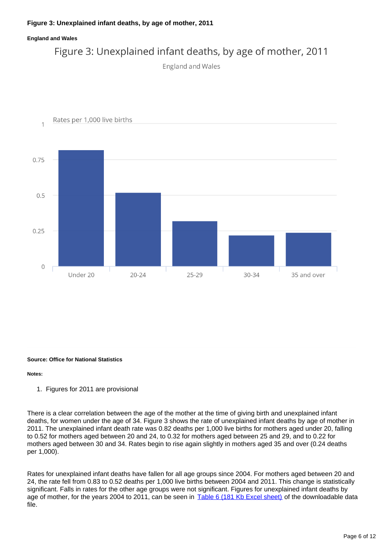### **Figure 3: Unexplained infant deaths, by age of mother, 2011**

#### **England and Wales**



```
England and Wales
```


#### **Source: Office for National Statistics**

#### **Notes:**

1. Figures for 2011 are provisional

There is a clear correlation between the age of the mother at the time of giving birth and unexplained infant deaths, for women under the age of 34. Figure 3 shows the rate of unexplained infant deaths by age of mother in 2011. The unexplained infant death rate was 0.82 deaths per 1,000 live births for mothers aged under 20, falling to 0.52 for mothers aged between 20 and 24, to 0.32 for mothers aged between 25 and 29, and to 0.22 for mothers aged between 30 and 34. Rates begin to rise again slightly in mothers aged 35 and over (0.24 deaths per 1,000).

Rates for unexplained infant deaths have fallen for all age groups since 2004. For mothers aged between 20 and 24, the rate fell from 0.83 to 0.52 deaths per 1,000 live births between 2004 and 2011. This change is statistically significant. Falls in rates for the other age groups were not significant. Figures for unexplained infant deaths by age of mother, for the years 2004 to 2011, can be seen in [Table 6 \(181 Kb Excel sheet\)](http://www.ons.gov.uk/ons/rel/child-health/unexplained-deaths-in-infancy--england-and-wales/2011/rft-unexplained-death-in-infancy.xls) of the downloadable data file.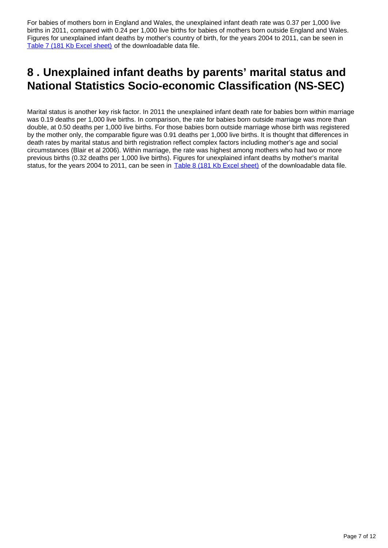For babies of mothers born in England and Wales, the unexplained infant death rate was 0.37 per 1,000 live births in 2011, compared with 0.24 per 1,000 live births for babies of mothers born outside England and Wales. Figures for unexplained infant deaths by mother's country of birth, for the years 2004 to 2011, can be seen in [Table 7 \(181 Kb Excel sheet\)](http://www.ons.gov.uk/ons/rel/child-health/unexplained-deaths-in-infancy--england-and-wales/2011/rft-unexplained-death-in-infancy.xls) of the downloadable data file.

### <span id="page-6-0"></span>**8 . Unexplained infant deaths by parents' marital status and National Statistics Socio-economic Classification (NS-SEC)**

Marital status is another key risk factor. In 2011 the unexplained infant death rate for babies born within marriage was 0.19 deaths per 1,000 live births. In comparison, the rate for babies born outside marriage was more than double, at 0.50 deaths per 1,000 live births. For those babies born outside marriage whose birth was registered by the mother only, the comparable figure was 0.91 deaths per 1,000 live births. It is thought that differences in death rates by marital status and birth registration reflect complex factors including mother's age and social circumstances (Blair et al 2006). Within marriage, the rate was highest among mothers who had two or more previous births (0.32 deaths per 1,000 live births). Figures for unexplained infant deaths by mother's marital status, for the years 2004 to 2011, can be seen in **[Table 8 \(181 Kb Excel sheet\)](http://www.ons.gov.uk/ons/rel/child-health/unexplained-deaths-in-infancy--england-and-wales/2011/rft-unexplained-death-in-infancy.xls)** of the downloadable data file.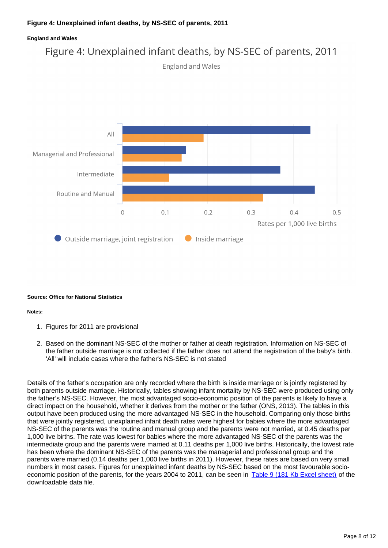### **Figure 4: Unexplained infant deaths, by NS-SEC of parents, 2011**

#### **England and Wales**

### Figure 4: Unexplained infant deaths, by NS-SEC of parents, 2011





#### **Source: Office for National Statistics**

#### **Notes:**

- 1. Figures for 2011 are provisional
- 2. Based on the dominant NS-SEC of the mother or father at death registration. Information on NS-SEC of the father outside marriage is not collected if the father does not attend the registration of the baby's birth. 'All' will include cases where the father's NS-SEC is not stated

Details of the father's occupation are only recorded where the birth is inside marriage or is jointly registered by both parents outside marriage. Historically, tables showing infant mortality by NS-SEC were produced using only the father's NS-SEC. However, the most advantaged socio-economic position of the parents is likely to have a direct impact on the household, whether it derives from the mother or the father (ONS, 2013). The tables in this output have been produced using the more advantaged NS-SEC in the household. Comparing only those births that were jointly registered, unexplained infant death rates were highest for babies where the more advantaged NS-SEC of the parents was the routine and manual group and the parents were not married, at 0.45 deaths per 1,000 live births. The rate was lowest for babies where the more advantaged NS-SEC of the parents was the intermediate group and the parents were married at 0.11 deaths per 1,000 live births. Historically, the lowest rate has been where the dominant NS-SEC of the parents was the managerial and professional group and the parents were married (0.14 deaths per 1,000 live births in 2011). However, these rates are based on very small numbers in most cases. Figures for unexplained infant deaths by NS-SEC based on the most favourable socio-economic position of the parents, for the years 2004 to 2011, can be seen in [Table 9 \(181 Kb Excel sheet\)](http://www.ons.gov.uk/ons/rel/child-health/unexplained-deaths-in-infancy--england-and-wales/2011/rft-unexplained-death-in-infancy.xls) of the downloadable data file.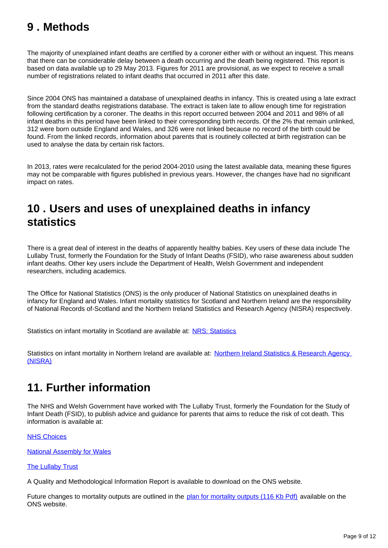# <span id="page-8-0"></span>**9 . Methods**

The majority of unexplained infant deaths are certified by a coroner either with or without an inquest. This means that there can be considerable delay between a death occurring and the death being registered. This report is based on data available up to 29 May 2013. Figures for 2011 are provisional, as we expect to receive a small number of registrations related to infant deaths that occurred in 2011 after this date.

Since 2004 ONS has maintained a database of unexplained deaths in infancy. This is created using a late extract from the standard deaths registrations database. The extract is taken late to allow enough time for registration following certification by a coroner. The deaths in this report occurred between 2004 and 2011 and 98% of all infant deaths in this period have been linked to their corresponding birth records. Of the 2% that remain unlinked, 312 were born outside England and Wales, and 326 were not linked because no record of the birth could be found. From the linked records, information about parents that is routinely collected at birth registration can be used to analyse the data by certain risk factors.

In 2013, rates were recalculated for the period 2004-2010 using the latest available data, meaning these figures may not be comparable with figures published in previous years. However, the changes have had no significant impact on rates.

### <span id="page-8-1"></span>**10 . Users and uses of unexplained deaths in infancy statistics**

There is a great deal of interest in the deaths of apparently healthy babies. Key users of these data include The Lullaby Trust, formerly the Foundation for the Study of Infant Deaths (FSID), who raise awareness about sudden infant deaths. Other key users include the Department of Health, Welsh Government and independent researchers, including academics.

The Office for National Statistics (ONS) is the only producer of National Statistics on unexplained deaths in infancy for England and Wales. Infant mortality statistics for Scotland and Northern Ireland are the responsibility of National Records of-Scotland and the Northern Ireland Statistics and Research Agency (NISRA) respectively.

Statistics on infant mortality in Scotland are available at: [NRS: Statistics](http://www.nrscotland.gov.uk/statistics-and-data)

Statistics on infant mortality in Northern Ireland are available at: Northern Ireland Statistics & Research Agency [\(NISRA\)](http://www.nisra.gov.uk/)

# **11. Further information**

The NHS and Welsh Government have worked with The Lullaby Trust, formerly the Foundation for the Study of Infant Death (FSID), to publish advice and guidance for parents that aims to reduce the risk of cot death. This information is available at:

### [NHS Choices](http://www.nhs.uk/Pages/HomePage.aspx)

[National Assembly for Wales](http://www.assemblywales.org/)

### **[The Lullaby Trust](http://www.lullabytrust.org.uk/)**

A Quality and Methodological Information Report is available to download on the ONS website.

Future changes to mortality outputs are outlined in the [plan for mortality outputs \(116 Kb Pdf\)](http://www.ons.gov.uk/ons/guide-method/user-guidance/health-and-life-events/plan-for-mortality-statistics.pdf) available on the ONS website.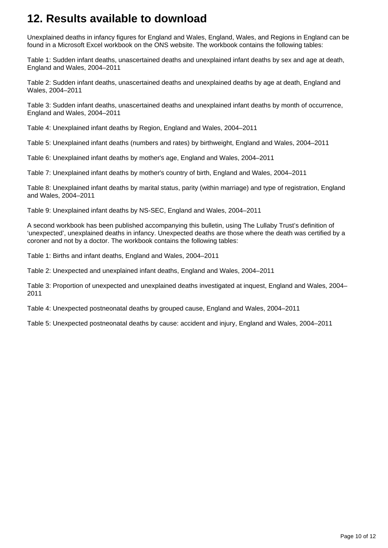# **12. Results available to download**

Unexplained deaths in infancy figures for England and Wales, England, Wales, and Regions in England can be found in a Microsoft Excel workbook on the ONS website. The workbook contains the following tables:

Table 1: Sudden infant deaths, unascertained deaths and unexplained infant deaths by sex and age at death, England and Wales, 2004–2011

Table 2: Sudden infant deaths, unascertained deaths and unexplained deaths by age at death, England and Wales, 2004–2011

Table 3: Sudden infant deaths, unascertained deaths and unexplained infant deaths by month of occurrence, England and Wales, 2004–2011

Table 4: Unexplained infant deaths by Region, England and Wales, 2004–2011

Table 5: Unexplained infant deaths (numbers and rates) by birthweight, England and Wales, 2004–2011

Table 6: Unexplained infant deaths by mother's age, England and Wales, 2004–2011

Table 7: Unexplained infant deaths by mother's country of birth, England and Wales, 2004–2011

Table 8: Unexplained infant deaths by marital status, parity (within marriage) and type of registration, England and Wales, 2004–2011

Table 9: Unexplained infant deaths by NS-SEC, England and Wales, 2004–2011

A second workbook has been published accompanying this bulletin, using The Lullaby Trust's definition of 'unexpected', unexplained deaths in infancy. Unexpected deaths are those where the death was certified by a coroner and not by a doctor. The workbook contains the following tables:

Table 1: Births and infant deaths, England and Wales, 2004–2011

Table 2: Unexpected and unexplained infant deaths, England and Wales, 2004–2011

Table 3: Proportion of unexpected and unexplained deaths investigated at inquest, England and Wales, 2004– 2011

Table 4: Unexpected postneonatal deaths by grouped cause, England and Wales, 2004–2011

Table 5: Unexpected postneonatal deaths by cause: accident and injury, England and Wales, 2004–2011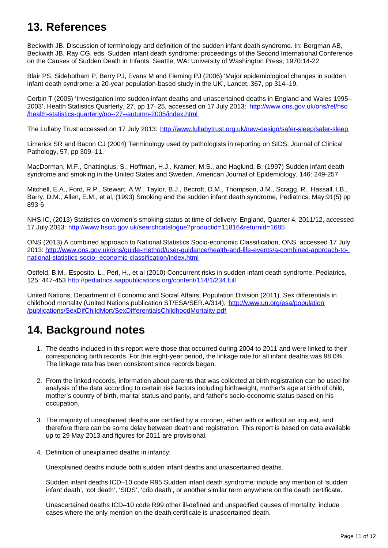### **13. References**

Beckwith JB. Discussion of terminology and definition of the sudden infant death syndrome. In: Bergman AB, Beckwith JB, Ray CG, eds. Sudden infant death syndrome: proceedings of the Second International Conference on the Causes of Sudden Death in Infants. Seattle, WA: University of Washington Press; 1970:14-22

Blair PS, Sidebotham P, Berry PJ, Evans M and Fleming PJ (2006) 'Major epidemiological changes in sudden infant death syndrome: a 20-year population-based study in the UK', Lancet, 367, pp 314–19.

Corbin T (2005) 'Investigation into sudden infant deaths and unascertained deaths in England and Wales 1995– 2003', Health Statistics Quarterly, 27, pp 17–25, accessed on 17 July 2013: [http://www.ons.gov.uk/ons/rel/hsq](http://www.ons.gov.uk/ons/rel/hsq/health-statistics-quarterly/no--27--autumn-2005/index.html) [/health-statistics-quarterly/no--27--autumn-2005/index.html](http://www.ons.gov.uk/ons/rel/hsq/health-statistics-quarterly/no--27--autumn-2005/index.html)

The Lullaby Trust accessed on 17 July 2013: <http://www.lullabytrust.org.uk/new-design/safer-sleep/safer-sleep>

Limerick SR and Bacon CJ (2004) Terminology used by pathologists in reporting on SIDS, Journal of Clinical Pathology, 57, pp 309–11.

MacDorman, M.F., Cnattingius, S., Hoffman, H.J., Kramer, M.S., and Haglund, B. (1997) Sudden infant death syndrome and smoking in the United States and Sweden. American Journal of Epidemiology, 146: 249-257

Mitchell, E.A., Ford, R.P., Stewart, A.W., Taylor, B.J., Becroft, D.M., Thompson, J.M., Scragg, R., Hassall. I.B., Barry, D.M., Allen, E.M., et al, (1993) Smoking and the sudden infant death syndrome, Pediatrics, May:91(5) pp 893-6

NHS IC, (2013) Statistics on women's smoking status at time of delivery: England, Quarter 4, 2011/12, accessed 17 July 2013: <http://www.hscic.gov.uk/searchcatalogue?productid=11816&returnid=1685>

ONS (2013) A combined approach to National Statistics Socio-economic Classification, ONS, accessed 17 July 2013: [http://www.ons.gov.uk/ons/guide-method/user-guidance/health-and-life-events/a-combined-approach-to](http://www.ons.gov.uk/ons/guide-method/user-guidance/health-and-life-events/a-combined-approach-to-national-statistics-socio--economic-classification/index.html)[national-statistics-socio--economic-classification/index.html](http://www.ons.gov.uk/ons/guide-method/user-guidance/health-and-life-events/a-combined-approach-to-national-statistics-socio--economic-classification/index.html)

Ostfeld, B.M., Esposito, L., Perl, H., et al (2010) Concurrent risks in sudden infant death syndrome. Pediatrics, 125: 447-453 <http://pediatrics.aappublications.org/content/114/1/234.full>

United Nations, Department of Economic and Social Affairs, Population Division (2011). Sex differentials in childhood mortality (United Nations publication ST/ESA/SER.A/314), [http://www.un.org/esa/population](http://www.un.org/esa/population/publications/SexDifChildMort/SexDifferentialsChildhoodMortality.pdf) [/publications/SexDifChildMort/SexDifferentialsChildhoodMortality.pdf](http://www.un.org/esa/population/publications/SexDifChildMort/SexDifferentialsChildhoodMortality.pdf)

# **14. Background notes**

- 1. The deaths included in this report were those that occurred during 2004 to 2011 and were linked to their corresponding birth records. For this eight-year period, the linkage rate for all infant deaths was 98.0%. The linkage rate has been consistent since records began.
- 2. From the linked records, information about parents that was collected at birth registration can be used for analysis of the data according to certain risk factors including birthweight, mother's age at birth of child, mother's country of birth, marital status and parity, and father's socio-economic status based on his occupation.
- 3. The majority of unexplained deaths are certified by a coroner, either with or without an inquest, and therefore there can be some delay between death and registration. This report is based on data available up to 29 May 2013 and figures for 2011 are provisional.
- 4. Definition of unexplained deaths in infancy:

Unexplained deaths include both sudden infant deaths and unascertained deaths.

Sudden infant deaths ICD–10 code R95 Sudden infant death syndrome: include any mention of 'sudden infant death', 'cot death', 'SIDS', 'crib death', or another similar term anywhere on the death certificate.

Unascertained deaths ICD–10 code R99 other ill-defined and unspecified causes of mortality: include cases where the only mention on the death certificate is unascertained death.